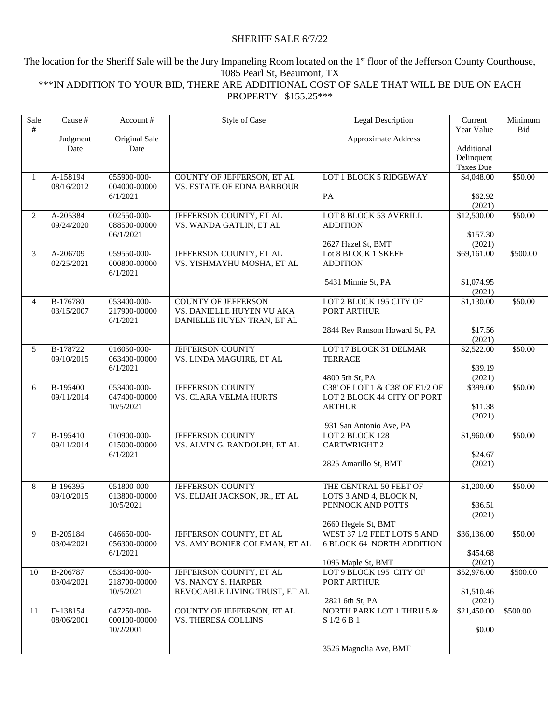## SHERIFF SALE 6/7/22

## The location for the Sheriff Sale will be the Jury Impaneling Room located on the 1<sup>st</sup> floor of the Jefferson County Courthouse, 1085 Pearl St, Beaumont, TX \*\*\*IN ADDITION TO YOUR BID, THERE ARE ADDITIONAL COST OF SALE THAT WILL BE DUE ON EACH

PROPERTY--\$155.25\*\*\*

| Sale           | Cause #    | Account #                 | <b>Style of Case</b>           | <b>Legal Description</b>                           | Current                          | Minimum  |
|----------------|------------|---------------------------|--------------------------------|----------------------------------------------------|----------------------------------|----------|
| #              |            |                           |                                |                                                    | Year Value                       | Bid      |
|                | Judgment   | Original Sale             |                                | Approximate Address                                |                                  |          |
|                | Date       | Date                      |                                |                                                    | Additional                       |          |
|                |            |                           |                                |                                                    | Delinquent                       |          |
|                | A-158194   | 055900-000-               | COUNTY OF JEFFERSON, ET AL     | <b>LOT 1 BLOCK 5 RIDGEWAY</b>                      | <b>Taxes Due</b><br>\$4,048.00   | \$50.00  |
| 1              | 08/16/2012 | 004000-00000              | VS. ESTATE OF EDNA BARBOUR     |                                                    |                                  |          |
|                |            | 6/1/2021                  |                                | PA                                                 | \$62.92                          |          |
|                |            |                           |                                |                                                    | (2021)                           |          |
| $\overline{2}$ | A-205384   | 002550-000-               | JEFFERSON COUNTY, ET AL        | LOT 8 BLOCK 53 AVERILL                             | \$12,500.00                      | \$50.00  |
|                | 09/24/2020 | 088500-00000              | VS. WANDA GATLIN, ET AL        | <b>ADDITION</b>                                    |                                  |          |
|                |            | 06/1/2021                 |                                |                                                    | \$157.30                         |          |
|                |            |                           |                                | 2627 Hazel St, BMT                                 | (2021)                           |          |
| 3              | A-206709   | 059550-000-               | JEFFERSON COUNTY, ET AL        | Lot 8 BLOCK 1 SKEFF                                | \$69,161.00                      | \$500.00 |
|                | 02/25/2021 | 000800-00000              | VS. YISHMAYHU MOSHA, ET AL     | <b>ADDITION</b>                                    |                                  |          |
|                |            | 6/1/2021                  |                                |                                                    |                                  |          |
|                |            |                           |                                | 5431 Minnie St, PA                                 | \$1,074.95                       |          |
| $\overline{4}$ | B-176780   | 053400-000-               | <b>COUNTY OF JEFFERSON</b>     | LOT 2 BLOCK 195 CITY OF                            | (2021)<br>$\overline{$1,130.00}$ | \$50.00  |
|                | 03/15/2007 | 217900-00000              | VS. DANIELLE HUYEN VU AKA      | PORT ARTHUR                                        |                                  |          |
|                |            | 6/1/2021                  | DANIELLE HUYEN TRAN, ET AL     |                                                    |                                  |          |
|                |            |                           |                                | 2844 Rev Ransom Howard St, PA                      | \$17.56                          |          |
|                |            |                           |                                |                                                    | (2021)                           |          |
| 5              | B-178722   | 016050-000-               | <b>JEFFERSON COUNTY</b>        | LOT 17 BLOCK 31 DELMAR                             | \$2,522.00                       | \$50.00  |
|                | 09/10/2015 | 063400-00000              | VS. LINDA MAGUIRE, ET AL       | <b>TERRACE</b>                                     |                                  |          |
|                |            | 6/1/2021                  |                                |                                                    | \$39.19                          |          |
|                | B-195400   | 053400-000-               | JEFFERSON COUNTY               | 4800 5th St, PA<br>C38' OF LOT 1 & C38' OF E1/2 OF | (2021)                           | \$50.00  |
| 6              | 09/11/2014 | 047400-00000              | <b>VS. CLARA VELMA HURTS</b>   | LOT 2 BLOCK 44 CITY OF PORT                        | \$399.00                         |          |
|                |            | 10/5/2021                 |                                | <b>ARTHUR</b>                                      | \$11.38                          |          |
|                |            |                           |                                |                                                    | (2021)                           |          |
|                |            |                           |                                | 931 San Antonio Ave, PA                            |                                  |          |
| $\overline{7}$ | B-195410   | 010900-000-               | JEFFERSON COUNTY               | LOT 2 BLOCK 128                                    | \$1,960.00                       | \$50.00  |
|                | 09/11/2014 | 015000-00000              | VS. ALVIN G. RANDOLPH, ET AL   | <b>CARTWRIGHT 2</b>                                |                                  |          |
|                |            | 6/1/2021                  |                                |                                                    | \$24.67                          |          |
|                |            |                           |                                | 2825 Amarillo St, BMT                              | (2021)                           |          |
|                |            |                           |                                |                                                    |                                  |          |
| 8              | B-196395   | 051800-000-               | JEFFERSON COUNTY               | THE CENTRAL 50 FEET OF                             | \$1,200.00                       | \$50.00  |
|                | 09/10/2015 | 013800-00000<br>10/5/2021 | VS. ELIJAH JACKSON, JR., ET AL | LOTS 3 AND 4, BLOCK N,<br>PENNOCK AND POTTS        | \$36.51                          |          |
|                |            |                           |                                |                                                    | (2021)                           |          |
|                |            |                           |                                | 2660 Hegele St, BMT                                |                                  |          |
| 9              | B-205184   | 046650-000-               | JEFFERSON COUNTY, ET AL        | WEST 37 1/2 FEET LOTS 5 AND                        | \$36,136.00                      | \$50.00  |
|                | 03/04/2021 | 056300-00000              | VS. AMY BONIER COLEMAN, ET AL  | <b>6 BLOCK 64 NORTH ADDITION</b>                   |                                  |          |
|                |            | 6/1/2021                  |                                |                                                    | \$454.68                         |          |
|                |            |                           |                                | 1095 Maple St, BMT                                 | (2021)                           |          |
| 10             | B-206787   | 053400-000-               | JEFFERSON COUNTY, ET AL        | LOT 9 BLOCK 195 CITY OF                            | \$52,976.00                      | \$500.00 |
|                | 03/04/2021 | 218700-00000              | VS. NANCY S. HARPER            | PORT ARTHUR                                        |                                  |          |
|                |            | 10/5/2021                 | REVOCABLE LIVING TRUST, ET AL  |                                                    | \$1,510.46                       |          |
|                | D-138154   | 047250-000-               | COUNTY OF JEFFERSON, ET AL     | 2821 6th St, PA<br>NORTH PARK LOT 1 THRU 5 &       | (2021)<br>\$21,450.00            | \$500.00 |
| 11             | 08/06/2001 | 000100-00000              | VS. THERESA COLLINS            | S 1/2 6 B 1                                        |                                  |          |
|                |            | 10/2/2001                 |                                |                                                    | \$0.00                           |          |
|                |            |                           |                                |                                                    |                                  |          |
|                |            |                           |                                | 3526 Magnolia Ave, BMT                             |                                  |          |